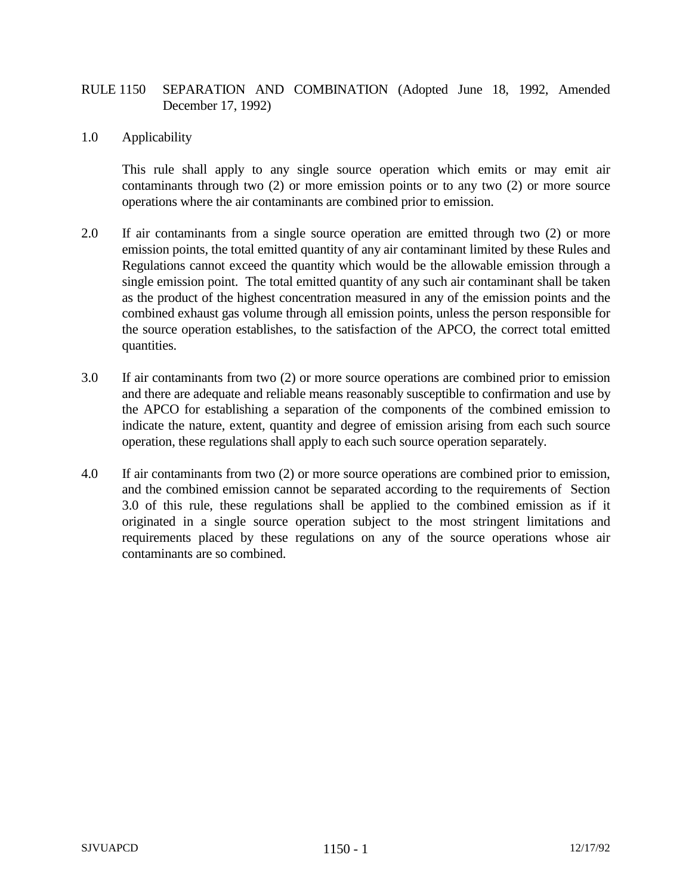## RULE 1150 SEPARATION AND COMBINATION (Adopted June 18, 1992, Amended December 17, 1992)

1.0 Applicability

This rule shall apply to any single source operation which emits or may emit air contaminants through two (2) or more emission points or to any two (2) or more source operations where the air contaminants are combined prior to emission.

- 2.0 If air contaminants from a single source operation are emitted through two (2) or more emission points, the total emitted quantity of any air contaminant limited by these Rules and Regulations cannot exceed the quantity which would be the allowable emission through a single emission point. The total emitted quantity of any such air contaminant shall be taken as the product of the highest concentration measured in any of the emission points and the combined exhaust gas volume through all emission points, unless the person responsible for the source operation establishes, to the satisfaction of the APCO, the correct total emitted quantities.
- 3.0 If air contaminants from two (2) or more source operations are combined prior to emission and there are adequate and reliable means reasonably susceptible to confirmation and use by the APCO for establishing a separation of the components of the combined emission to indicate the nature, extent, quantity and degree of emission arising from each such source operation, these regulations shall apply to each such source operation separately.
- 4.0 If air contaminants from two (2) or more source operations are combined prior to emission, and the combined emission cannot be separated according to the requirements of Section 3.0 of this rule, these regulations shall be applied to the combined emission as if it originated in a single source operation subject to the most stringent limitations and requirements placed by these regulations on any of the source operations whose air contaminants are so combined.